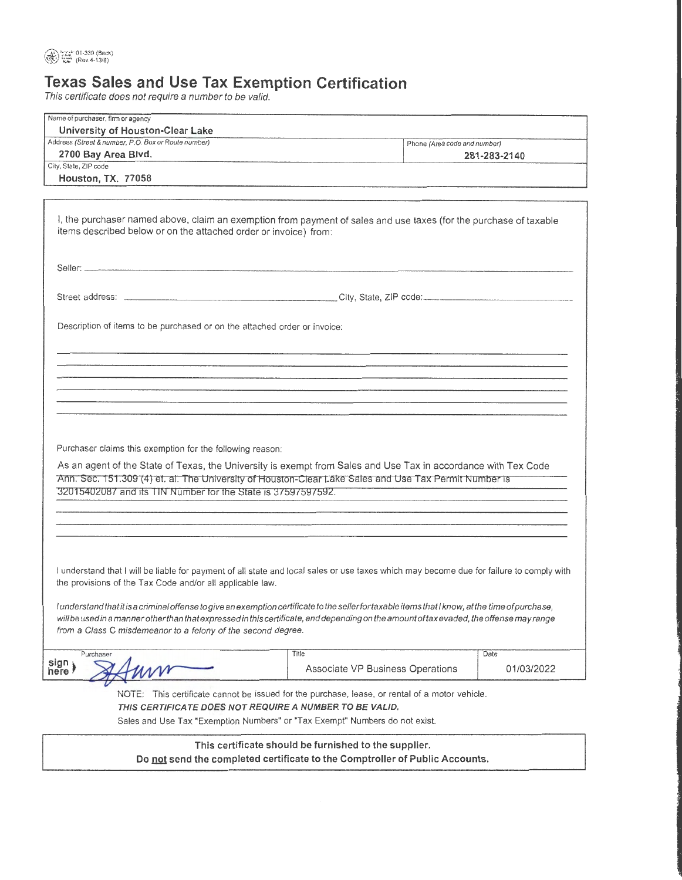

## **Texas Sales and Use Tax Exemption Certification**

This certificate does not require a number to be valid.

| Name of purchaser, firm or agency<br>University of Houston-Clear Lake                                                                                                                                                                                                                                                                                         |                                                                                                                                                           |                              |
|---------------------------------------------------------------------------------------------------------------------------------------------------------------------------------------------------------------------------------------------------------------------------------------------------------------------------------------------------------------|-----------------------------------------------------------------------------------------------------------------------------------------------------------|------------------------------|
|                                                                                                                                                                                                                                                                                                                                                               |                                                                                                                                                           |                              |
| Address (Street & number, P.O. Box or Route number)                                                                                                                                                                                                                                                                                                           |                                                                                                                                                           | Phone (Area code and number) |
| 2700 Bay Area Blvd.                                                                                                                                                                                                                                                                                                                                           |                                                                                                                                                           | 281-283-2140                 |
| City, State, ZIP code                                                                                                                                                                                                                                                                                                                                         |                                                                                                                                                           |                              |
| <b>Houston, TX. 77058</b>                                                                                                                                                                                                                                                                                                                                     |                                                                                                                                                           |                              |
|                                                                                                                                                                                                                                                                                                                                                               |                                                                                                                                                           |                              |
| I, the purchaser named above, claim an exemption from payment of sales and use taxes (for the purchase of taxable<br>items described below or on the attached order or invoice) from:                                                                                                                                                                         |                                                                                                                                                           |                              |
|                                                                                                                                                                                                                                                                                                                                                               |                                                                                                                                                           |                              |
|                                                                                                                                                                                                                                                                                                                                                               |                                                                                                                                                           |                              |
|                                                                                                                                                                                                                                                                                                                                                               |                                                                                                                                                           |                              |
|                                                                                                                                                                                                                                                                                                                                                               |                                                                                                                                                           |                              |
| Description of items to be purchased or on the attached order or invoice:                                                                                                                                                                                                                                                                                     |                                                                                                                                                           |                              |
|                                                                                                                                                                                                                                                                                                                                                               |                                                                                                                                                           |                              |
|                                                                                                                                                                                                                                                                                                                                                               |                                                                                                                                                           |                              |
|                                                                                                                                                                                                                                                                                                                                                               |                                                                                                                                                           |                              |
|                                                                                                                                                                                                                                                                                                                                                               |                                                                                                                                                           |                              |
|                                                                                                                                                                                                                                                                                                                                                               |                                                                                                                                                           |                              |
|                                                                                                                                                                                                                                                                                                                                                               |                                                                                                                                                           |                              |
| Purchaser claims this exemption for the following reason:<br>As an agent of the State of Texas, the University is exempt from Sales and Use Tax in accordance with Tex Code<br>Ann. Sec. 151.309 (4) et. al. The University of Houston-Clear Lake Sales and Use Tax Permit Number is<br>32015402087 and its TIN Number for the State is 37597597592.          |                                                                                                                                                           |                              |
|                                                                                                                                                                                                                                                                                                                                                               |                                                                                                                                                           |                              |
|                                                                                                                                                                                                                                                                                                                                                               |                                                                                                                                                           |                              |
|                                                                                                                                                                                                                                                                                                                                                               |                                                                                                                                                           |                              |
|                                                                                                                                                                                                                                                                                                                                                               |                                                                                                                                                           |                              |
| I understand that I will be liable for payment of all state and local sales or use taxes which may become due for failure to comply with<br>the provisions of the Tax Code and/or all applicable law.                                                                                                                                                         |                                                                                                                                                           |                              |
| l understand that it is a criminal offense to give an exemption certificate to the seller for taxable items that I know, at the time of purchase,<br>will be used in a manner other than that expressed in this certificate, and depending on the amount of tax evaded, the offense may range<br>from a Class C misdemeanor to a felony of the second degree. |                                                                                                                                                           |                              |
|                                                                                                                                                                                                                                                                                                                                                               |                                                                                                                                                           |                              |
| Purchaser                                                                                                                                                                                                                                                                                                                                                     | Title                                                                                                                                                     | Date                         |
| sign)<br>here                                                                                                                                                                                                                                                                                                                                                 | Associate VP Business Operations                                                                                                                          | 01/03/2022                   |
|                                                                                                                                                                                                                                                                                                                                                               |                                                                                                                                                           |                              |
|                                                                                                                                                                                                                                                                                                                                                               | NOTE: This certificate cannot be issued for the purchase, lease, or rental of a motor vehicle.<br>THIS CERTIFICATE DOES NOT REQUIRE A NUMBER TO BE VALID. |                              |

This certificate should be furnished to the supplier. Do not send the completed certificate to the Comptroller of Public Accounts.